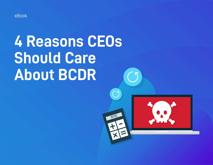

# **4 Reasons CEOs Should Care About BCDR**

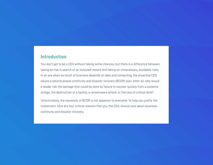## **Introduction**

You don't get to be a CEO without taking some chances, but there is a difference between taking on risk in search of an outsized reward and taking on unnecessary, avoidable risks. In an era when so much of business depends on data and computing, the proactive CEO values a solid business continuity and disaster recovery (BCDR) plan. After all, why would a leader risk the damage that could be done by failure to recover quickly from a systems outage, the destruction of a facility, a ransomware attack, or the loss of critical data?

Unfortunately, the necessity of BCDR is not apparent to everyone. To help you justify the investment, here are four critical reasons that you, the CEO, should care about business continuity and disaster recovery.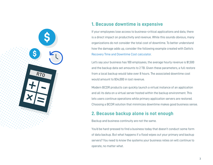# **1. Because downtime is expensive**

If your employees lose access to business-critical applications and data, there is a direct impact on productivity and revenue. While this sounds obvious, many organizations do not consider the total cost of downtime. To better understand how the damage adds up, consider the following example created with Datto's [Recovery Time and Downtime Cost calculator.](https://www.datto.com/rto/)

Let's say your business has 100 employees, the average hourly revenue is \$1,500 and the backup data set amounts to 2 TB. Given these parameters, a full restore from a local backup would take over 8 hours. The associated downtime cost would amount to \$34,000 in lost revenue.

Modern BCDR products can quickly launch a virtual instance of an application and all its data on a virtual server hosted within the backup environment. This lets users continue operations while primary application servers are restored. Choosing a BCDR solution that minimizes downtime makes good business sense.

## **2. Because backup alone is not enough**

Backup and business continuity are not the same.

You'd be hard-pressed to find a business today that doesn't conduct some form of data backup. But what happens if a flood wipes out your primary and backup servers? You need to know the systems your business relies on will continue to operate, no matter what.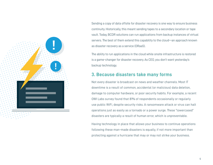

Sending a copy of data offsite for disaster recovery is one way to ensure business continuity. Historically, this meant sending tapes to a secondary location or tape vault. Today, BCDR solutions can run applications from backup instances of virtual servers. The best of them extend this capability to the cloud—an approach known as disaster recovery as a service (DRaaS).

The ability to run applications in the cloud while onsite infrastructure is restored is a game-changer for disaster recovery. As CEO, you don't want yesterday's backup technology.

## **3. Because disasters take many forms**

Not every disaster is broadcast on news and weather channels. Most IT downtime is a result of common, accidental (or malicious) data deletion, damage to computer hardware, or poor security habits. For example, a recent OWI Labs survey found that 81% of respondents occasionally or regularly use public WiFi, despite security risks. A ransomware attack or virus can halt operations just as easily as a tornado or a power surge. These "lowercased" disasters are typically a result of human error, which is unpreventable.

Having technology in place that allows your business to continue operations following these man-made disasters is equally, if not more important than protecting against a hurricane that may or may not strike your business.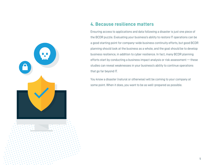

# **4. Because resilience matters**

Ensuring access to applications and data following a disaster is just one piece of the BCDR puzzle. Evaluating your business's ability to restore IT operations can be a good starting point for company-wide business continuity efforts, but good BCDR planning should look at the business as a whole, and the goal should be to develop business resilience, in addition to cyber resilience. In fact, many BCDR planning efforts start by conducting a business impact analysis or risk assessment — these studies can reveal weaknesses in your business's ability to continue operations that go far beyond IT.

You know a disaster (natural or otherwise) will be coming to your company at some point. When it does, you want to be as well-prepared as possible.